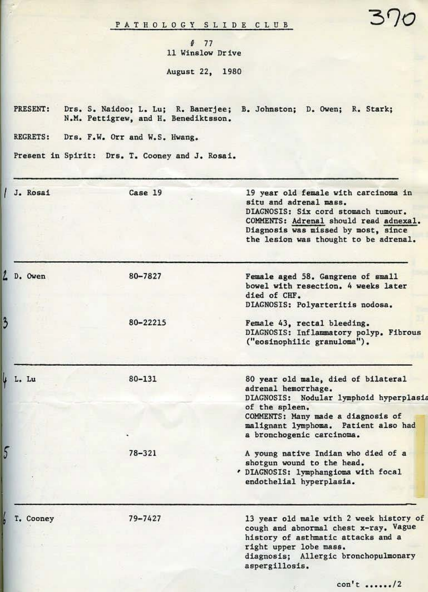P A T H O L O G Y S L I D E C L U B

# 77 11 Winslov Drive August 22, 1980

PRESENT: Drs. S. Naidoo; L. Lu; R. Banerjee; B. Johnston; D. Owen; R. Stark; N.M. Pettigrew, and R. Benediktsson.

REGRETS: Drs. F.W. Orr and W.S. Hwang.

 $\overline{3}$ 

 $\overline{\mathbf{5}}$ 

Present in Spirit: Drs. T. Cooney and J. Rosai.

| J. Rosai  | Case 19    | 19 year old female with carcinoma in<br>situ and adrenal mass.<br>DIAGNOSIS: Six cord stomach tumour.<br>COMMENTS: Adrenal should read adnexal.<br>Diagnosis was missed by most, since<br>the lesion was thought to be adrenal.    |
|-----------|------------|------------------------------------------------------------------------------------------------------------------------------------------------------------------------------------------------------------------------------------|
| L D. Owen | 80-7827    | Female aged 58. Gangrene of small<br>bowel with resection. 4 weeks later<br>died of CHF.<br>DIAGNOSIS: Polyarteritis nodosa.                                                                                                       |
| 3         | 80-22215   | Female 43, rectal bleeding.<br>DIAGNOSIS: Inflammatory polyp. Fibrous<br>("eosinophilic granuloma").                                                                                                                               |
| J L. Lu   | $80 - 131$ | 80 year old male, died of bilateral<br>adrenal hemorrhage.<br>DIAGNOSIS: Nodular lymphoid hyperplasis<br>of the spleen.<br>COMMENTS: Many made a diagnosis of<br>malignant lymphoma. Patient also had<br>a bronchogenic carcinoma. |
| 5         | 78-321     | A young native Indian who died of a<br>shotgun wound to the head.<br>. DIAGNOSIS: lymphangioma with focal<br>endothelial hyperplasia.                                                                                              |
| T. Cooney | 79-7427    | 13 year old male with 2 week history of<br>cough and abnormal chest x-ray. Vague<br>history of asthmatic attacks and a<br>right upper lobe mass.<br>diagnosis; Allergic bronchopulmonary<br>aspergillosis.                         |

 $\tilde{\mathcal{D}}$ 

 $3<sup>1</sup>$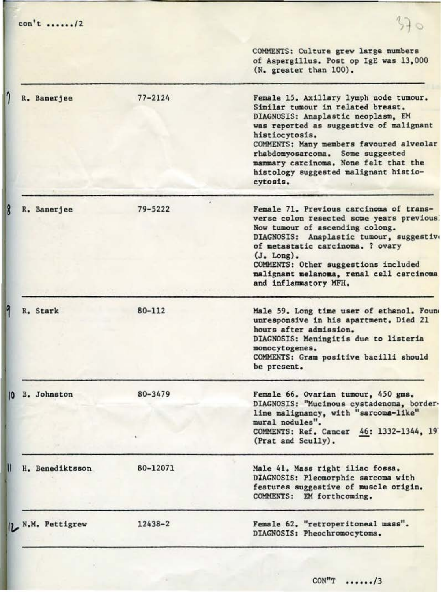| $con't \ldots ./2$       |             | 570                                                                                                                                                                                                                                                                                                                                                          |
|--------------------------|-------------|--------------------------------------------------------------------------------------------------------------------------------------------------------------------------------------------------------------------------------------------------------------------------------------------------------------------------------------------------------------|
|                          |             | COMMENTS: Culture grew large numbers<br>of Aspergillus. Post op IgE was 13,000<br>(N. greater than 100).                                                                                                                                                                                                                                                     |
| R. Banerjee              | $77 - 2124$ | Female 15. Axillary lymph node tumour.<br>Similar tumour in related breast.<br>DIAGNOSIS: Anaplastic neoplasm, EM<br>was reported as suggestive of malignant<br>histiocytosis.<br>COMMENTS: Many members favoured alveolar<br>rhabdomyosarcoma. Some suggested<br>mammary carcinoma. None felt that the<br>histology suggested malignant histio-<br>cytosis. |
| R. Banerjee              | $79 - 5222$ | Female 71. Previous carcinoma of trans-<br>verse colon resected some years previous<br>Now tumour of ascending colong.<br>DIAGNOSIS: Anaplastic tumour, suggestive<br>of metastatic carcinoma. ? ovary<br>(J. Long).<br>COMMENTS: Other suggestions included<br>malignant melanoma, renal cell carcinoma<br>and inflammatory MFH.                            |
| R. Stark                 | 80-112      | Male 59. Long time user of ethanol. Foun<br>unresponsive in his apartment. Died 21<br>hours after admission.<br>DIAGNOSIS: Meningitis due to listeria<br>monocytogenes.<br>COMMENTS: Gram positive bacilli should<br>be present.                                                                                                                             |
| <b>B.</b> Johnston<br>10 | 80-3479     | Female 66. Ovarian tumour, 450 gms.<br>DIAGNOSIS: "Mucinous cystadenoma, border-<br>line malignancy, with "sarcoma-like"<br>mural nodules".<br>COMMENTS: Ref. Cancer 46: 1332-1344, 19<br>(Prat and Scully).                                                                                                                                                 |
| H. Benediktsson          | 80-12071    | Male 41. Mass right iliac fossa.<br>DIAGNOSIS: Pleomorphic sarcoma with<br>features suggestive of muscle origin.<br>COMMENTS: EM forthcoming.                                                                                                                                                                                                                |
| 1. N.M. Pettigrew        | $12438 - 2$ | Female 62. "retroperitoneal mass".<br>DIAGNOSIS: Pheochromocytoma.                                                                                                                                                                                                                                                                                           |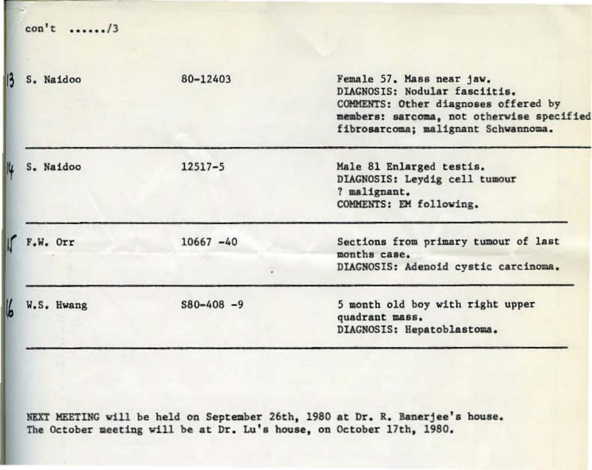| $con't$ /3      |              |                                                                                                                                                                                        |
|-----------------|--------------|----------------------------------------------------------------------------------------------------------------------------------------------------------------------------------------|
| S. Naidoo       | 80-12403     | Female 57. Mass near jaw.<br>DIAGNOSIS: Nodular fasciitis.<br>COMMENTS: Other diagnoses offered by<br>members: sarcoma, not otherwise specified<br>fibrosarcoma; malignant Schwannoma. |
| S. Naidoo<br>u  | $12517 - 5$  | Male 81 Enlarged testis.<br>DIAGNOSIS: Leydig cell tumour<br>? malignant.<br>COMMENTS: EM following.                                                                                   |
| $F.W.$ Orr      | $10667 - 40$ | Sections from primary tumour of last<br>months case.<br>DIAGNOSIS: Adenoid cystic carcinoma.                                                                                           |
| ĥ<br>W.S. Hwang | $S80-408 -9$ | 5 month old boy with right upper<br>quadrant mass.<br>DIAGNOSIS: Hepatoblastoma.                                                                                                       |

NEXT MEETING will be held on September 26th, 1980 at Dr. R. Banerjee's house. The October meeting will be at Dr. Lu's house, on October 17th, 1980.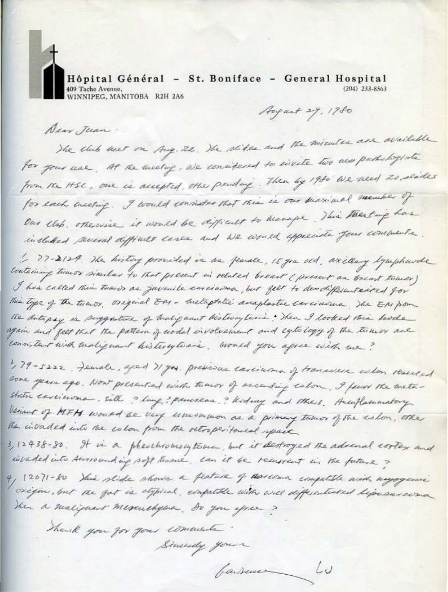Hôpital Général - St. Boniface - General Hospital 409 Tache Avenue,<br>WINNIPEG, MANITOBA R2H 2A6  $(204)$   $233 - 8563$ 

August 29, 1980

Dear Jean.

The club and on Aug. 22. The slides and the minutes are available for your use. At the meeting, we considered to evisite two mes pathologists from the HSC, one is accepted, other pendang. Then by 1980 we need to senter for each meeting. I would consider that this is our subvitual member of Our elep, otherwise it would be difficult to beauge. This thertage has included several difficult lanes and We would appreciate four comments.

1, 77-2124. The history provided in an feaste, 15 yrs ald, axillary lymphurde containing times similar to that present in related breast ( present as breast times ) I has called this town as juvenile environa, but felt to des different eased for This type of the turnor, original EM - Instaptatic anaplastic carcinoma. The EM por the sutepsy is puggature of healignant bistrouptance . Then I looked this hode again and feet that the pattern of under involvement and equilo logy of the timeor are consistent with malignant bisterytoais. Would you agree with me?

179-5222 . Female, aged Il you. previous carcinona of transverse colon reserved some years ago. Now presented with tumor of according colon. I favor the metastatu carcinona, site ? lung? panereas? Kidney and theirs. Hacoflammatory Veriant of MFH would be very union won as a primary tumor of the eston, other The invaded into the colon from the retroperitousal space.

3, 12438-80. It is a pheochromocytome, but it destroyed the advenal cortex and invaded into surrounding soft tessue. Lan it be removent in the future?

4, 12071-80 This slide shows a peature of descessa computate with myogami origin, but the fat is object, computate with will differentiated lips survey Then a maliphant Mescuchyena. Do you spree?

barsener Lu

Thank you for your comments

Similarly your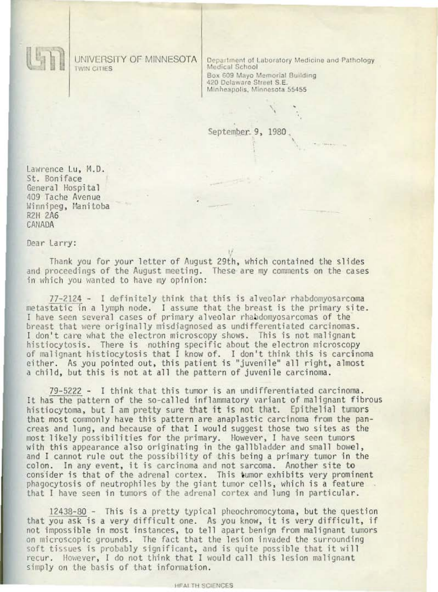UNIVERSITY OF MINNESOTA **TWIN CITIES** 

Department of Laboratory Medicine and Pathology<br>Medical School Box 609 Mayo Memorial Building 420 Delaware Street S.E. Minheapolis, Minnesota 55455

September. 9, 1980

Lawrence Lu, M.D. St. Boniface General Hospital 409 Tache Avenue Winnipeg, Manitoba **R2H 2A6** CANADA

Dear Larry:

Thank you for your letter of August 29th, which contained the slides and proceedings of the August meeting. These are my comments on the cases in which you wanted to have my opinion:

77-2124 - I definitely think that this is alveolar rhabdomyosarcoma metastatic in a lymph node. I assume that the breast is the primary site. I have seen several cases of primary alveolar rhabdomyosarcomas of the breast that were originally misdiagnosed as undifferentiated carcinomas. I don't care what the electron microscopy shows. This is not malignant histiocytosis. There is nothing specific about the electron microscopy of malignant histiocytosis that I know of. I don't think this is carcinoma either. As you pointed out, this patient is "juvenile" all right, almost a child, but this is not at all the pattern of juvenile carcinoma.

79-5222 - I think that this tumor is an undifferentiated carcinoma. It has the pattern of the so-called inflammatory variant of malignant fibrous histiocytoma, but I am pretty sure that it is not that. Epithelial tumors that most commonly have this pattern are anaplastic carcinoma from the pancreas and lung, and because of that I would suggest those two sites as the most likely possibilities for the primary. However, I have seen tumors with this appearance also originating in the gallbladder and small bowel, and I cannot rule out the possibility of this being a primary tumor in the colon. In any event, it is carcinoma and not sarcoma. Another site to consider is that of the adrenal cortex. This tumor exhibits very prominent phagocytosis of neutrophiles by the giant tumor cells, which is a feature. that I have seen in tumors of the adrenal cortex and lung in particular.

12438-80 - This is a pretty typical pheochromocytoma, but the question that you ask is a very difficult one. As you know, it is very difficult, if<br>not impossible in most instances, to tell apart benign from malignant tumors on microscopic grounds. The fact that the lesion invaded the surrounding soft tissues is probably significant, and is quite possible that it will recur. However, I do not think that I would call this lesion malignant simply on the basis of that information.